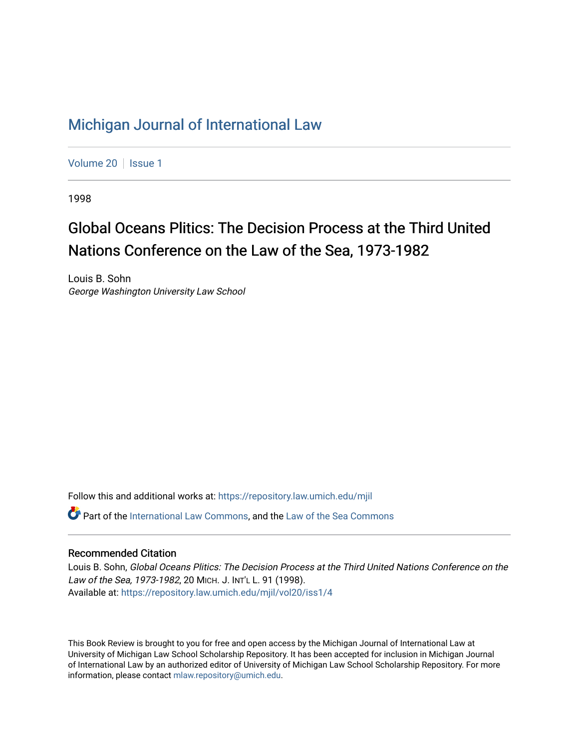## [Michigan Journal of International Law](https://repository.law.umich.edu/mjil)

[Volume 20](https://repository.law.umich.edu/mjil/vol20) | [Issue 1](https://repository.law.umich.edu/mjil/vol20/iss1)

1998

# Global Oceans Plitics: The Decision Process at the Third United Nations Conference on the Law of the Sea, 1973-1982

Louis B. Sohn George Washington University Law School

Follow this and additional works at: [https://repository.law.umich.edu/mjil](https://repository.law.umich.edu/mjil?utm_source=repository.law.umich.edu%2Fmjil%2Fvol20%2Fiss1%2F4&utm_medium=PDF&utm_campaign=PDFCoverPages) 

Part of the [International Law Commons,](http://network.bepress.com/hgg/discipline/609?utm_source=repository.law.umich.edu%2Fmjil%2Fvol20%2Fiss1%2F4&utm_medium=PDF&utm_campaign=PDFCoverPages) and the Law of the Sea Commons

#### Recommended Citation

Louis B. Sohn, Global Oceans Plitics: The Decision Process at the Third United Nations Conference on the Law of the Sea, 1973-1982, 20 MICH. J. INT'L L. 91 (1998). Available at: [https://repository.law.umich.edu/mjil/vol20/iss1/4](https://repository.law.umich.edu/mjil/vol20/iss1/4?utm_source=repository.law.umich.edu%2Fmjil%2Fvol20%2Fiss1%2F4&utm_medium=PDF&utm_campaign=PDFCoverPages) 

This Book Review is brought to you for free and open access by the Michigan Journal of International Law at University of Michigan Law School Scholarship Repository. It has been accepted for inclusion in Michigan Journal of International Law by an authorized editor of University of Michigan Law School Scholarship Repository. For more information, please contact [mlaw.repository@umich.edu](mailto:mlaw.repository@umich.edu).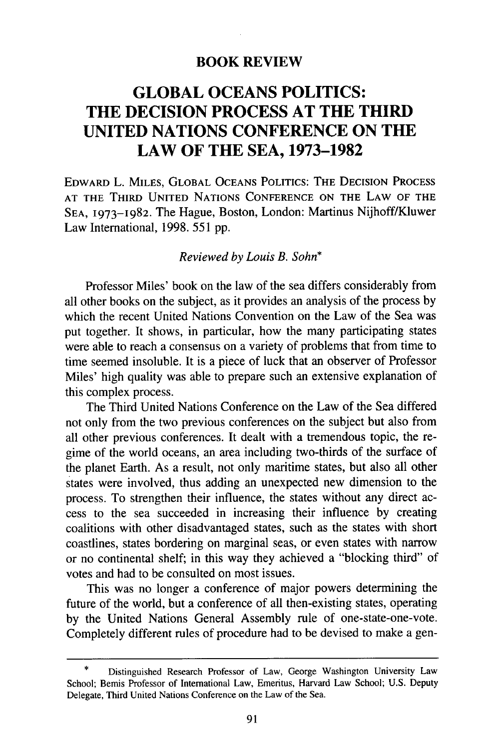#### **BOOK REVIEW**

### **GLOBAL OCEANS POLITICS: THE DECISION PROCESS AT THE THIRD UNITED NATIONS CONFERENCE ON THE LAW OF THE SEA, 1973-1982**

EDWARD L. **MILES,** GLOBAL **OCEANS POLITICS:** THE **DECISION PROCESS AT** THE THIRD **UNITED NATIONS CONFERENCE ON** THE LAW OF THE **SEA, 1973-1982.** The Hague, Boston, London: Martinus Nijhoff/Kluwer Law International, 1998. 551 pp.

#### *Reviewed by Louis B. Sohn\**

Professor Miles' book on the law of the sea differs considerably from all other books on the subject, as it provides an analysis of the process by which the recent United Nations Convention on the Law of the Sea was put together. It shows, in particular, how the many participating states were able to reach a consensus on a variety of problems that from time to time seemed insoluble. It is a piece of luck that an observer of Professor Miles' high quality was able to prepare such an extensive explanation of this complex process.

The Third United Nations Conference on the Law of the Sea differed not only from the two previous conferences on the subject but also from all other previous conferences. It dealt with a tremendous topic, the regime of the world oceans, an area including two-thirds of the surface of the planet Earth. As a result, not only maritime states, but also all other states were involved, thus adding an unexpected new dimension to the process. To strengthen their influence, the states without any direct access to the sea succeeded in increasing their influence by creating coalitions with other disadvantaged states, such as the states with short coastlines, states bordering on marginal seas, or even states with narrow or no continental shelf; in this way they achieved a "blocking third" of votes and had to be consulted on most issues.

This was no longer a conference of major powers determining the future of the world, but a conference of all then-existing states, operating by the United Nations General Assembly rule of one-state-one-vote. Completely different rules of procedure had to be devised to make a gen-

<sup>\*</sup> Distinguished Research Professor of Law, George Washington University Law School; Bemis Professor of International Law, Emeritus, Harvard Law School; U.S. Deputy Delegate, Third United Nations Conference on the Law of the Sea.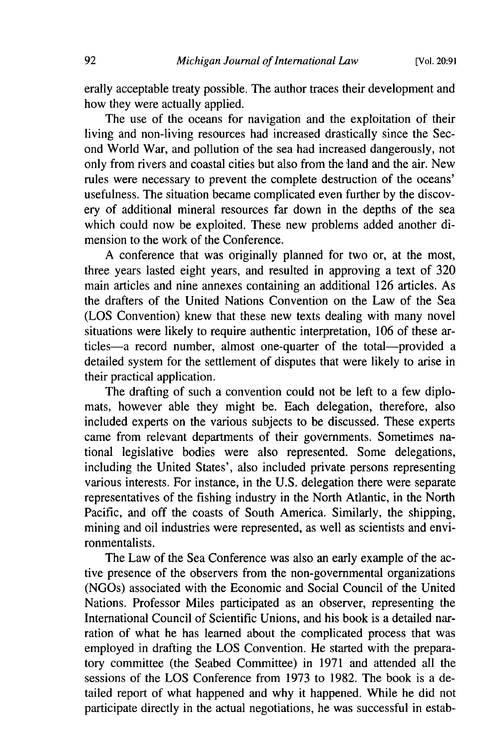erally acceptable treaty possible. The author traces their development and how they were actually applied.

The use of the oceans for navigation and the exploitation of their living and non-living resources had increased drastically since the Second World War, and pollution of the sea had increased dangerously, not only from rivers and coastal cities but also from the land and the air. New rules were necessary to prevent the complete destruction of the oceans' usefulness. The situation became complicated even further by the discovery of additional mineral resources far down in the depths of the sea which could now be exploited. These new problems added another dimension to the work of the Conference.

A conference that was originally planned for two or, at the most, three years lasted eight years, and resulted in approving a text of 320 main articles and nine annexes containing an additional 126 articles. As the drafters of the United Nations Convention on the Law of the Sea (LOS Convention) knew that these new texts dealing with many novel situations were likely to require authentic interpretation, 106 of these articles-a record number, almost one-quarter of the total-provided a detailed system for the settlement of disputes that were likely to arise in their practical application.

The drafting of such a convention could not be left to a few diplomats, however able they might be. Each delegation, therefore, also included experts on the various subjects to be discussed. These experts came from relevant departments of their governments. Sometimes national legislative bodies were also represented. Some delegations, including the United States', also included private persons representing various interests. For instance, in the U.S. delegation there were separate representatives of the fishing industry in the North Atlantic, in the North Pacific, and off the coasts of South America. Similarly, the shipping, mining and oil industries were represented, as well as scientists and environmentalists.

The Law of the Sea Conference was also an early example of the active presence of the observers from the non-governmental organizations (NGOs) associated with the Economic and Social Council of the United Nations. Professor Miles participated as an observer, representing the International Council of Scientific Unions, and his book is a detailed narration of what he has learned about the complicated process that was employed in drafting the LOS Convention. He started with the preparatory committee (the Seabed Committee) in 1971 and attended all the sessions of the LOS Conference from 1973 to 1982. The book is a detailed report of what happened and why it happened. While he did not participate directly in the actual negotiations, he was successful in estab